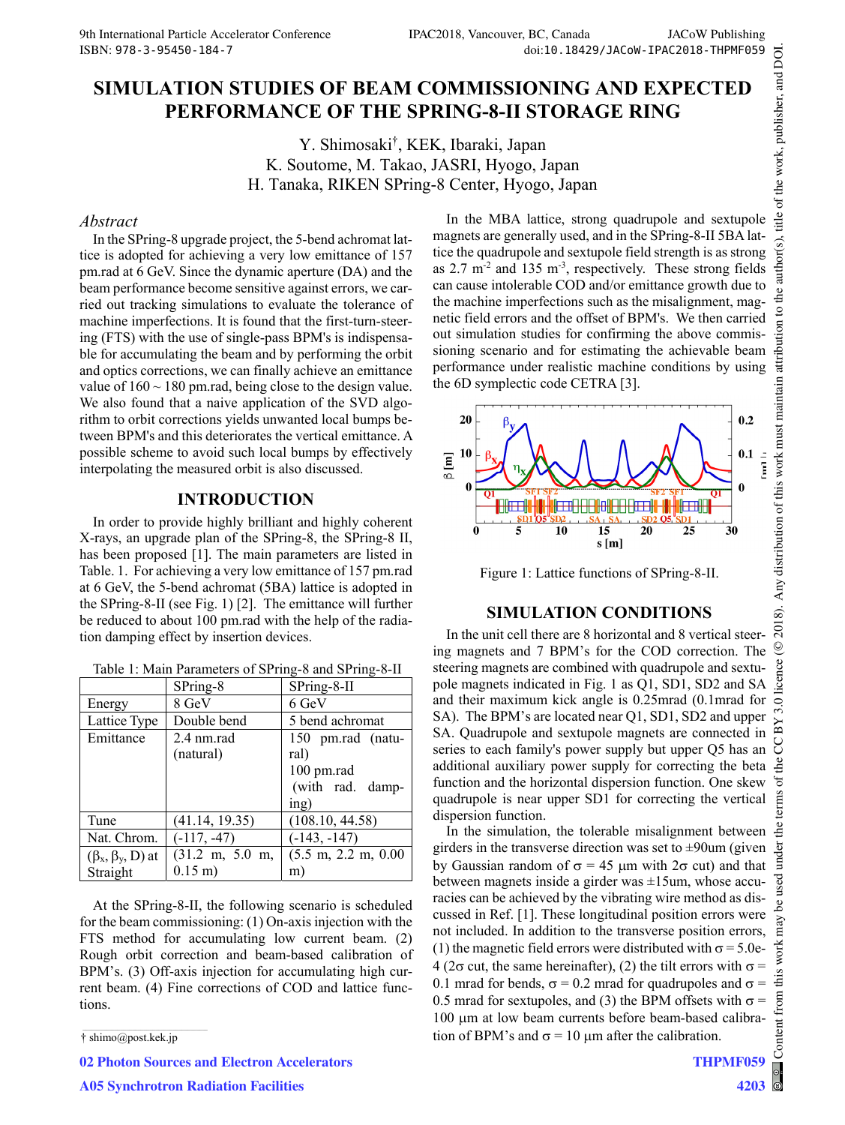# **SIMULATION STUDIES OF BEAM COMMISSIONING AND EXPECTED PERFORMANCE OF THE SPRING-8-II STORAGE RING**

Y. Shimosaki† , KEK, Ibaraki, Japan K. Soutome, M. Takao, JASRI, Hyogo, Japan H. Tanaka, RIKEN SPring-8 Center, Hyogo, Japan

#### *Abstract*

In the SPring-8 upgrade project, the 5-bend achromat lattice is adopted for achieving a very low emittance of 157 pm.rad at 6 GeV. Since the dynamic aperture (DA) and the beam performance become sensitive against errors, we carried out tracking simulations to evaluate the tolerance of machine imperfections. It is found that the first-turn-steering (FTS) with the use of single-pass BPM's is indispensable for accumulating the beam and by performing the orbit and optics corrections, we can finally achieve an emittance value of  $160 \sim 180$  pm.rad, being close to the design value. We also found that a naive application of the SVD algorithm to orbit corrections yields unwanted local bumps between BPM's and this deteriorates the vertical emittance. A possible scheme to avoid such local bumps by effectively interpolating the measured orbit is also discussed.

### **INTRODUCTION**

In order to provide highly brilliant and highly coherent X-rays, an upgrade plan of the SPring-8, the SPring-8 II, has been proposed [1]. The main parameters are listed in Table. 1. For achieving a very low emittance of 157 pm.rad at 6 GeV, the 5-bend achromat (5BA) lattice is adopted in the SPring-8-II (see Fig. 1) [2]. The emittance will further be reduced to about 100 pm.rad with the help of the radiation damping effect by insertion devices.

| Table 1: Main Parameters of SPring-8 and SPring-8-II |  |  |
|------------------------------------------------------|--|--|
|------------------------------------------------------|--|--|

|                            | SPring-8                          | SPring-8-II                            |
|----------------------------|-----------------------------------|----------------------------------------|
| Energy                     | 8 GeV                             | 6 GeV                                  |
| Lattice Type               | Double bend                       | 5 bend achromat                        |
| Emittance                  | 2.4 nm.rad                        | 150 pm.rad (natu-                      |
|                            | (natural)                         | ral)                                   |
|                            |                                   | 100 pm.rad                             |
|                            |                                   | (with rad. damp-                       |
|                            |                                   | ing)                                   |
| Tune                       | (41.14, 19.35)                    | (108.10, 44.58)                        |
| Nat. Chrom.                | $(-117, -47)$                     | $(-143, -147)$                         |
| $(\beta_x, \beta_y, D)$ at | $(31.2 \text{ m}, 5.0 \text{ m},$ | $(5.5 \text{ m}, 2.2 \text{ m}, 0.00)$ |
| Straight                   | $0.15 \text{ m}$ )                | m                                      |

At the SPring-8-II, the following scenario is scheduled for the beam commissioning: (1) On-axis injection with the FTS method for accumulating low current beam. (2) Rough orbit correction and beam-based calibration of BPM's. (3) Off-axis injection for accumulating high current beam. (4) Fine corrections of COD and lattice functions.

**02 Photon Sources and Electron Accelerators**

**A05 Synchrotron Radiation Facilities**

In the MBA lattice, strong quadrupole and sextupole magnets are generally used, and in the SPring-8-II 5BA lattice the quadrupole and sextupole field strength is as strong as 2.7 m-2 and 135 m-3, respectively. These strong fields can cause intolerable COD and/or emittance growth due to the machine imperfections such as the misalignment, magnetic field errors and the offset of BPM's. We then carried out simulation studies for confirming the above commissioning scenario and for estimating the achievable beam performance under realistic machine conditions by using the 6D symplectic code CETRA [3].



Figure 1: Lattice functions of SPring-8-II.

#### **SIMULATION CONDITIONS**

In the unit cell there are 8 horizontal and 8 vertical steering magnets and 7 BPM's for the COD correction. The steering magnets are combined with quadrupole and sextupole magnets indicated in Fig. 1 as Q1, SD1, SD2 and SA and their maximum kick angle is 0.25mrad (0.1mrad for SA). The BPM's are located near Q1, SD1, SD2 and upper SA. Quadrupole and sextupole magnets are connected in series to each family's power supply but upper Q5 has an additional auxiliary power supply for correcting the beta function and the horizontal dispersion function. One skew quadrupole is near upper SD1 for correcting the vertical dispersion function.

In the simulation, the tolerable misalignment between girders in the transverse direction was set to  $\pm 90$ um (given der. Ě by Gaussian random of  $\sigma = 45 \mu m$  with  $2\sigma$  cut) and that between magnets inside a girder was  $\pm 15$ um, whose accuracies can be achieved by the vibrating wire method as discussed in Ref. [1]. These longitudinal position errors were not included. In addition to the transverse position errors, (1) the magnetic field errors were distributed with  $\sigma = 5.0e$ - $4$  (2 $\sigma$  cut, the same hereinafter), (2) the tilt errors with  $\sigma$  = 0.1 mrad for bends,  $\sigma$  = 0.2 mrad for quadrupoles and  $\sigma$  = 0.5 mrad for sextupoles, and (3) the BPM offsets with  $\sigma$  = 100 um at low beam currents before beam-based calibra-Content tion of BPM's and  $\sigma = 10 \mu m$  after the calibration.

Content from this work may be used under the terms of the CC BY 3.0 licence ( $@$ 

م<br>م

from

©

icence

 $3.0$  $_{\rm BY}$ g <sub>de</sub> đ terms

author(s), title of the work, publisher, and DOI.

<sup>†</sup> shimo@post.kek.jp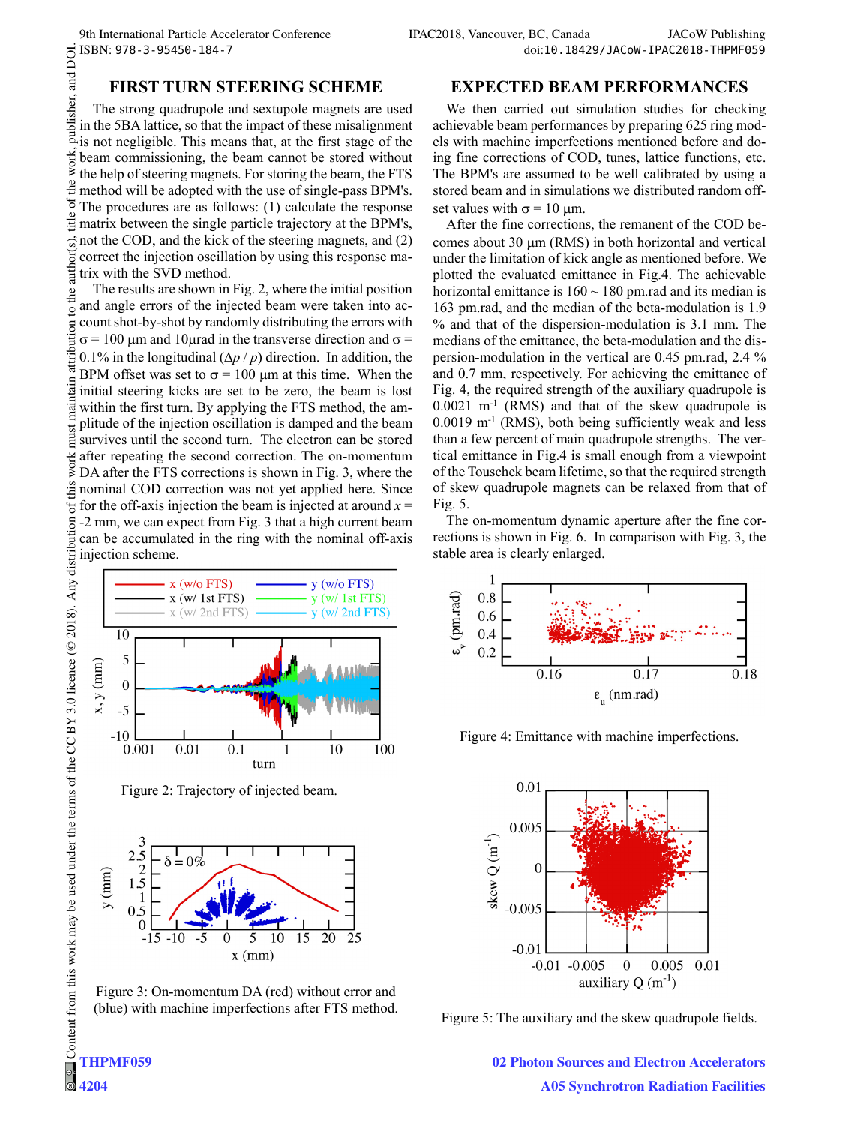## **FIRST TURN STEERING SCHEME**

publisher, and DOI. The strong quadrupole and sextupole magnets are used in the 5BA lattice, so that the impact of these misalignment is not negligible. This means that, at the first stage of the work. beam commissioning, the beam cannot be stored without the help of steering magnets. For storing the beam, the FTS method will be adopted with the use of single-pass BPM's. The procedures are as follows: (1) calculate the response matrix between the single particle trajectory at the BPM's, not the COD, and the kick of the steering magnets, and (2) correct the injection oscillation by using this response matrix with the SVD method.

The results are shown in Fig. 2, where the initial position and angle errors of the injected beam were taken into account shot-by-shot by randomly distributing the errors with  $\sigma$  = 100 µm and 10µ rad in the transverse direction and  $\sigma$  = 0.1% in the longitudinal  $(\Delta p / p)$  direction. In addition, the BPM offset was set to  $\sigma = 100 \mu m$  at this time. When the initial steering kicks are set to be zero, the beam is lost within the first turn. By applying the FTS method, the amplitude of the injection oscillation is damped and the beam survives until the second turn. The electron can be stored after repeating the second correction. The on-momentum DA after the FTS corrections is shown in Fig. 3, where the nominal COD correction was not yet applied here. Since for the off-axis injection the beam is injected at around  $x =$ -2 mm, we can expect from Fig. 3 that a high current beam can be accumulated in the ring with the nominal off-axis injection scheme.



Figure 2: Trajectory of injected beam.





We then carried out simulation studies for checking achievable beam performances by preparing 625 ring models with machine imperfections mentioned before and doing fine corrections of COD, tunes, lattice functions, etc. The BPM's are assumed to be well calibrated by using a stored beam and in simulations we distributed random offset values with  $\sigma = 10$  um.

After the fine corrections, the remanent of the COD becomes about 30  $\mu$ m (RMS) in both horizontal and vertical under the limitation of kick angle as mentioned before. We plotted the evaluated emittance in Fig.4. The achievable horizontal emittance is  $160 \sim 180$  pm.rad and its median is 163 pm.rad, and the median of the beta-modulation is 1.9 % and that of the dispersion-modulation is 3.1 mm. The medians of the emittance, the beta-modulation and the dispersion-modulation in the vertical are 0.45 pm.rad, 2.4 % and 0.7 mm, respectively. For achieving the emittance of Fig. 4, the required strength of the auxiliary quadrupole is  $0.0021$  m<sup>-1</sup> (RMS) and that of the skew quadrupole is  $0.0019$  m<sup>-1</sup> (RMS), both being sufficiently weak and less than a few percent of main quadrupole strengths. The vertical emittance in Fig.4 is small enough from a viewpoint of the Touschek beam lifetime, so that the required strength of skew quadrupole magnets can be relaxed from that of Fig. 5.

The on-momentum dynamic aperture after the fine corrections is shown in Fig. 6. In comparison with Fig. 3, the stable area is clearly enlarged.



Figure 4: Emittance with machine imperfections.



Figure 5: The auxiliary and the skew quadrupole fields.

**02 Photon Sources and Electron Accelerators A05 Synchrotron Radiation Facilities**

**THPMF059**